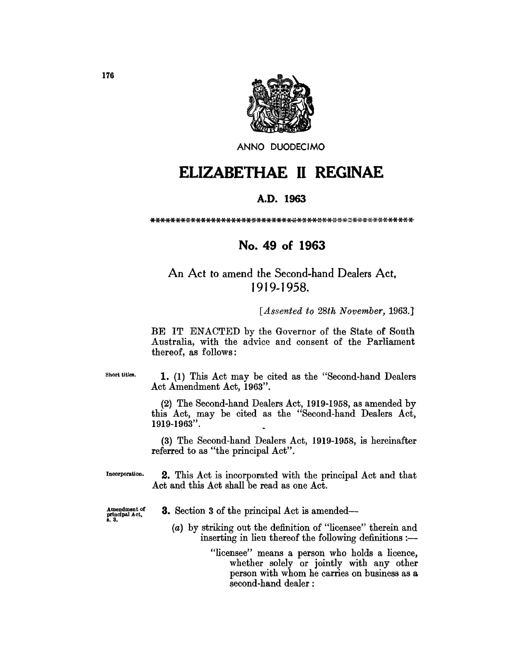

ANNO DUODECIMO

# **ELIZABETHAE 11 REGINAE**

## A.D. **1963**

\*\*\*\*\*\*\*\*\*\*\*\*\*\*\*\*\*\*\*\*\*\*\*\*\*\*\*\*\*\*\*\*\*\*\*\*\*\*\*,::·\*·X--l(·-l(·\*·\*\*\*\*\*\*\*.

# **No. 49 of 1963**

# An Act to amend the Second-hand Dealers Act, J 919-1958.

*[Assented to 28th November,* 1963.J

BE IT ENACTED by the Governor of the State of South Australia, with the advice and consent of the Parliament thereof, as follows:

Short titles.

1. (1) This Act may be cited as the "Second-hand Dealers Act Amendment Act, 1963".

(2) The Second-hand Dealers Act, 1919-1958, as amended by this Act, may be cited as the "Second-hand Dealers Act, 1919-1963".

(3) The Second-hand Dealers Act, 1919-1958, is hereinafter referred to as "the principal Act".

Incorporation. 2. This Act is incorporated with the principal Act and that Act and this Act shall be read as one Act.

8.3.

- Amendment of 3. Section 3 of the principal Act is amended-
	- (a) by striking out the definition of "licensee" therein and inserting in lieu thereof the following definitions  $:$ --

"licensee" means a person who holds a licence, whether solely or jointly with any other person with whom he carries on business as a second-hand dealer: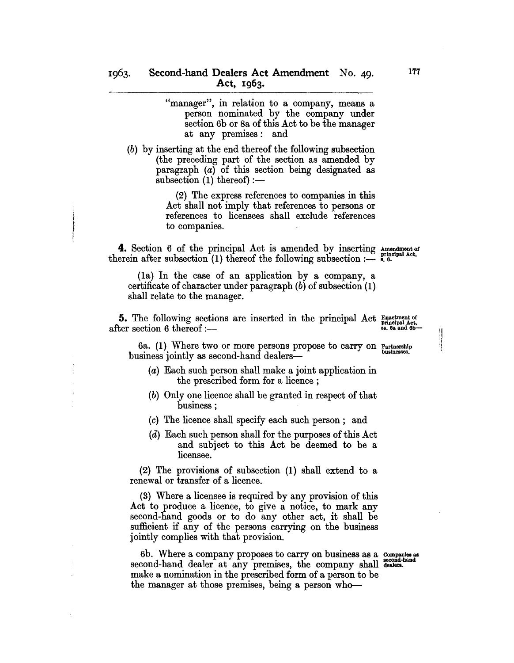"manager", in relation to a company, means a person nominated by the company under section 6b or 8a of this Act to be the manager at any premises: and

(b) by inserting at the end thereof the following subsection (the preceding part of the section as amended by paragraph (a) of this section being designated as subsection  $(1)$  thereof) :—

> (2) The express references to companies in this Act shall not imply that references to persons or references to licensees shall exclude references to companies.

**4.** Section 6 of the principal Act is amended by inserting Amendment of therein after subsection  $(1)$  thereof the following subsection :--- 8. 6.

(la) In the case of an application by a company, a certificate of character under paragraph (b) of subsection (1) shall relate to the manager.

**5.** The following sections are inserted in the principal Act Enactment of after section 6 thereof :-

ij

6a. (1) Where two or more persons propose to carry on Partnership business jointly as second-hand dealers—

- (a) Each such person shall make a joint application in the prescribed form for a licence ;
- (b) Only one licence shall be granted in respect of that business;
- (c) The licence shall specify each such person; and
- (d) Each such person shall for the purposes of this Act and subject to this Act be deemed to be a licensee.

(2) The provisions of subsection (1) shall extend to a renewal or transfer of a licence.

(3) Where a licensee is required by any provision of this Act to produce a licence, to give a notice, to mark any second-hand goods or to do any other act, it shall be sufficient if any of the persons carrying on the business jointly complies with that provision.

6b. Where a company proposes to carry on business as a companies as second-hand dealer at any premises, the company shall dealers. make a nomination in the prescribed form of a person to be the manager at those premises, being a person who-

177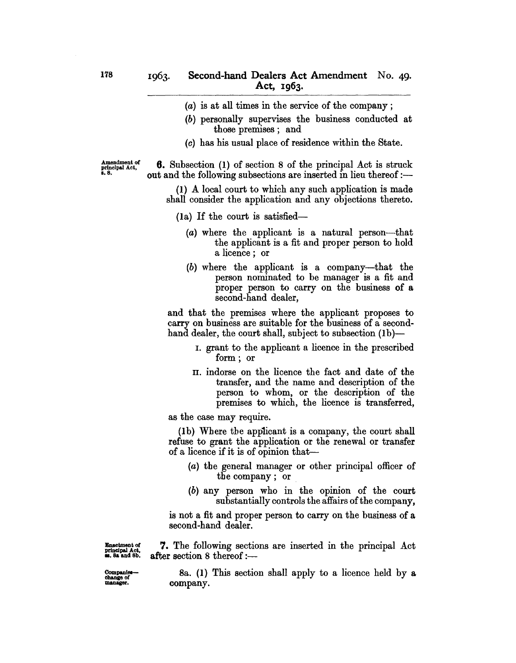- (a) is at all times in the service of the company;
- (b) personally supervises the business conducted at those premises; and
- (c) has his usual place of residence within the State.

Amendment of principal Act. 1.8.

6. Subsection (I) of section 8 of the principal Act is struck out and the following subsections are inserted in lieu thereof :-

(I) A local court to which any such application is made shall consider the application and any objections thereto.

- (la) If the court is satisfied-
	- (a) where the applicant is a natural person-that the applicant is a fit and proper person to hold a licence; or
	- (b) where the applicant is a company-that the person nominated to be manager is a fit and proper person to carry on the business of a second-hand dealer,

and that the premises where the applicant proposes to carry on business are suitable for the business of a secondhand dealer, the court shall, subject to subsection (1b)-

- I. grant to the applicant a licence in the prescribed form; or
- 11. indorse on the licence the fact and date of the transfer, and the name and description of the person to whom, or the description of the premises to which, the licence is transferred,

as the case may require.

(Ib) Where the applicant is a company, the court shall refuse to grant the application or the renewal or transfer of a licence if it is of opinion that-

- (a) the general manager or other principal officer of the company; or
- (b) any person who in the opinion of the court substantially controls the affairs of the company,

is not a fit and proper person to carry on the business of a second-hand dealer.

Enactment of 7. The following sections are inserted in the principal Act  $\frac{1}{2}$  ... sa and 8b. after section 8 thereof :-

 $~^{\text{companier}\text{-}}$  8a. (1) This section shall apply to a licence held by a manager. company. company.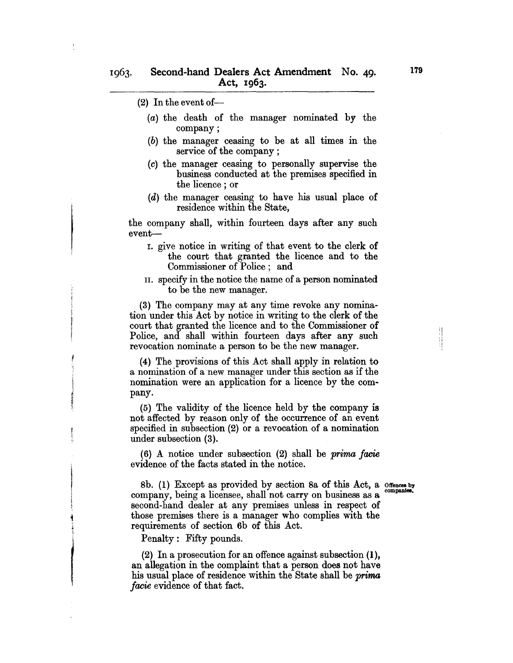- $(2)$  In the event of-
	- (a) the death of the manager nominated by the company;
	- (b) the manager ceasing to be at all times in the service of the company;
	- (c) the manager ceasing to personally supervise the business conducted at the premises specified in the licence ; or
	- (d) the manager ceasing to have his usual place of residence within the State,

the company shall, within fourteen days after any such event-

- I. give notice in writing of that event to the clerk of the court that granted the licence and to the Commissioner of Police; and
- IT. specify in the notice the name of a person nominated to be the new manager.

(3) The company may at any time revoke any nomination under this Act by notice in writing to the clerk of the court that granted the licence and to the Commissioner of Police, and shall within fourteen days after any such revocation nominate a person to be the new manager.

(4) The provisions of this Act shall apply in relation to a nomination of a new manager under this section as if the nomination were an application for a licence by the company.

(5) The validity of the licence held by the company is not affected by reason only of the occurrence of an event specified in subsection (2) or a revocation of a nomination under subsection (3).

(6) A notice under subsection (2) shall be *prima facie*  evidence of the facts stated in the notice.

!!<br>!!!<br>!!!

8b. (1) Except as provided by section 8a of this Act, a offences by companies. company, being a licensee, shall not carry on business as a second-hand dealer at any premises unless in respect of those premises there is a manager who complies with the requirements of section 6b of this Act.

Penalty: Fifty pounds.

I

(2) In a prosecution for an offence against subsection (1), an allegation in the complaint that a person does not have his usual place of residence within the State shall be *prima facie* evidence of that fact.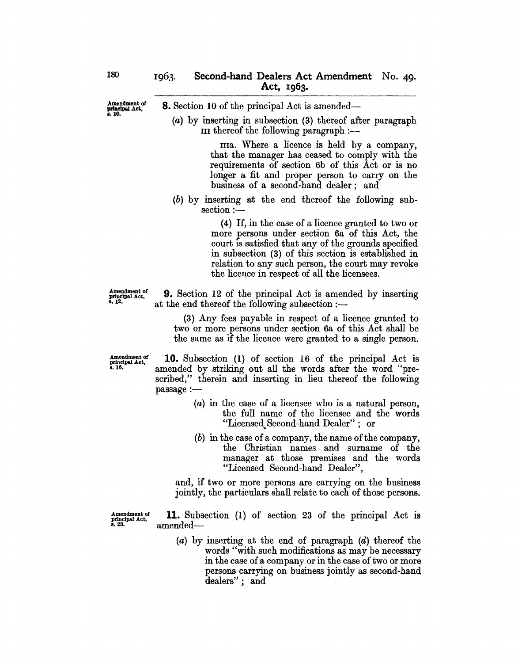8. Section 10 of the principal Act is amended-

(a) by inserting in subsection (3) thereof after paragraph III thereof the following paragraph  $:$ 

> IIIa. Where a licence is held by a company, that the manager has ceased to comply with the requirements of section 6b of this Act or is no longer a fit and proper person to carry on the business of a second-hand dealer; and

(b) by inserting at the end thereof the following sub $section :=$ 

> (4) If, in the case of a licence granted to two or more persons under section 6a of this Act, the court is satisfied that any of the grounds specified in subsection (3) of this section is established in relation to any such person, the court may revoke the licence in respect of all the licensees.

Amendment of principal Act, 8.12.

9. Section 12 of the principal Act is amended by inserting at the end thereof the following subsection  $:$ 

(3) Any fees payable in respect of a licence granted to two or more persons under section 6a of this Act shall be the same as if the licence were granted to a single person.

Amendment of principal Act, s.16.

10. Subsection (I) of section 16 of the principal Act is amended by striking out all the words after the word "prescribed," therein and inserting in lieu thereof the following passage :-

- (a) in the case of a licensee who is a natural person, the full name of the licensee and the words "Licensed Second-hand Dealer"; or
- (b) in the case of a company, the name of the company, the Christian names and surname of the manager at those premises and the words "Licensed Second-hand Dealer",

and, if two or more persons are carrying on the business jointly, the particulars shall relate to each of those persons.

 $\frac{\text{Amendment of}}{\text{grthendual Act}}$  11. Subsection (1) of section 23 of the principal Act is  $a$ mended $-$ 

> (a) by inserting at the end of paragraph (d) thereof the words "with such modifications as may be necessary in the case of a company or in the case of two or more persons carrying on business jointly as second-hand dealers"; and

Amendment of<br>principal Act,<br>s. 10.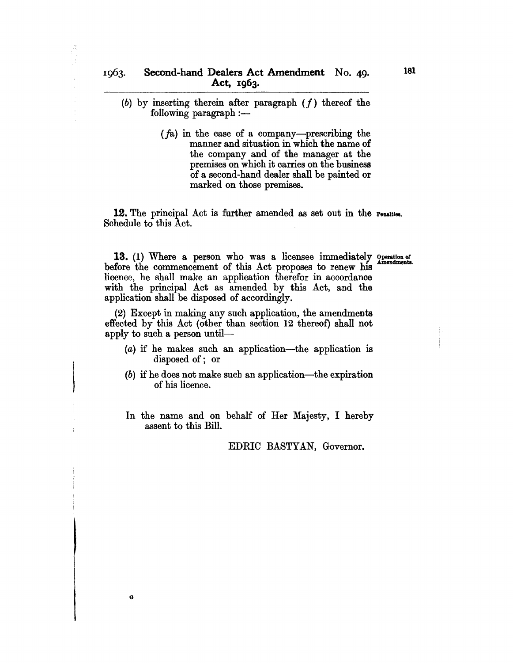- (b) by inserting therein after paragraph *(f)* thereof the  $following$  paragraph  $:$   $-$ 
	- *(fa)* in the case of a company-prescribing the manner and situation in which the name of the company and of the manager at the premises on which it carries on the business of a second-hand dealer shall be painted or marked on those premises.

**12.** The principal Act is further amended as set out in the Penalties. Schedule to this Act.

13. (1) Where a person who was a licensee immediately operation of Amendments. before the commencement of this Act proposes to renew his licence, he shall make an application therefor in accordance with the principal Act as amended by this Act, and the application shall be disposed of accordingly.

(2) Except in making any such application, the amendments effected by this Act (otber than section 12 thereof) shall not apply to such a person until-

- (a) if be makes such an application-the application is disposed of; or
- $(b)$  if he does not make such an application—the expiration of his licence.
- In the name and on behalf of Her Majesty, I hereby assent to this Bill.

G

EDRIC BASTYAN, Governor.